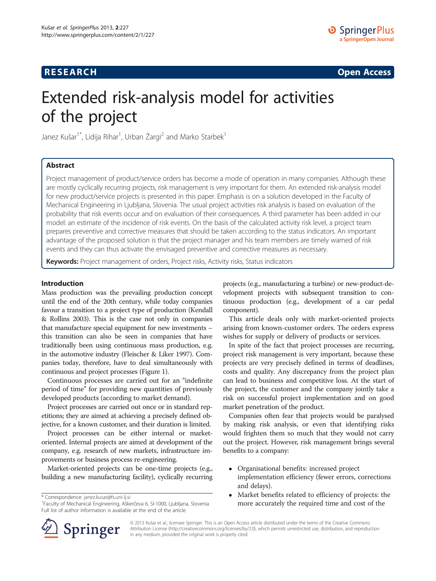## **RESEARCH RESEARCH** *CHECKER CHECKER CHECKER CHECKER CHECKER CHECKER CHECKER CHECKER CHECKER CHECKER CHECKER*

# Extended risk-analysis model for activities of the project

Janez Kušar<sup>1\*</sup>, Lidija Rihar<sup>1</sup>, Urban Žargi<sup>2</sup> and Marko Starbek<sup>1</sup>

## Abstract

Project management of product/service orders has become a mode of operation in many companies. Although these are mostly cyclically recurring projects, risk management is very important for them. An extended risk-analysis model for new product/service projects is presented in this paper. Emphasis is on a solution developed in the Faculty of Mechanical Engineering in Ljubljana, Slovenia. The usual project activities risk analysis is based on evaluation of the probability that risk events occur and on evaluation of their consequences. A third parameter has been added in our model: an estimate of the incidence of risk events. On the basis of the calculated activity risk level, a project team prepares preventive and corrective measures that should be taken according to the status indicators. An important advantage of the proposed solution is that the project manager and his team members are timely warned of risk events and they can thus activate the envisaged preventive and corrective measures as necessary.

Keywords: Project management of orders, Project risks, Activity risks, Status indicators

## Introduction

Mass production was the prevailing production concept until the end of the 20th century, while today companies favour a transition to a project type of production (Kendall & Rollins [2003](#page-10-0)). This is the case not only in companies that manufacture special equipment for new investments – this transition can also be seen in companies that have traditionally been using continuous mass production, e.g. in the automotive industry (Fleischer & Liker [1997](#page-10-0)). Companies today, therefore, have to deal simultaneously with continuous and project processes (Figure [1\)](#page-1-0).

Continuous processes are carried out for an "indefinite period of time" for providing new quantities of previously developed products (according to market demand).

Project processes are carried out once or in standard repetitions; they are aimed at achieving a precisely defined objective, for a known customer, and their duration is limited.

Project processes can be either internal or marketoriented. Internal projects are aimed at development of the company, e.g. research of new markets, infrastructure improvements or business process re-engineering.

Market-oriented projects can be one-time projects (e.g., building a new manufacturing facility), cyclically recurring

\* Correspondence: [janez.kusar@fs.uni-lj.si](mailto:janez.kusar@fs.uni-lj.si) <sup>1</sup>

<sup>1</sup> Faculty of Mechanical Engineering, Aškerčeva 6, SI-1000, Ljubljana, Slovenia Full list of author information is available at the end of the article

projects (e.g., manufacturing a turbine) or new-product-development projects with subsequent transition to continuous production (e.g., development of a car pedal component).

This article deals only with market-oriented projects arising from known-customer orders. The orders express wishes for supply or delivery of products or services.

In spite of the fact that project processes are recurring, project risk management is very important, because these projects are very precisely defined in terms of deadlines, costs and quality. Any discrepancy from the project plan can lead to business and competitive loss. At the start of the project, the customer and the company jointly take a risk on successful project implementation and on good market penetration of the product.

Companies often fear that projects would be paralysed by making risk analysis, or even that identifying risks would frighten them so much that they would not carry out the project. However, risk management brings several benefits to a company:

- Organisational benefits: increased project implementation efficiency (fewer errors, corrections and delays).
- Market benefits related to efficiency of projects: the more accurately the required time and cost of the



© 2013 Kušar et al.; licensee Springer. This is an Open Access article distributed under the terms of the Creative Commons Attribution License [\(http://creativecommons.org/licenses/by/2.0\)](http://creativecommons.org/licenses/by/2.0), which permits unrestricted use, distribution, and reproduction in any medium, provided the original work is properly cited.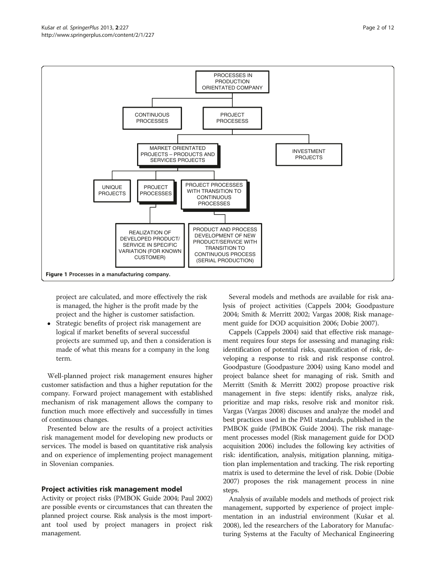<span id="page-1-0"></span>

project are calculated, and more effectively the risk is managed, the higher is the profit made by the project and the higher is customer satisfaction.

 Strategic benefits of project risk management are logical if market benefits of several successful projects are summed up, and then a consideration is made of what this means for a company in the long term.

Well-planned project risk management ensures higher customer satisfaction and thus a higher reputation for the company. Forward project management with established mechanism of risk management allows the company to function much more effectively and successfully in times of continuous changes.

Presented below are the results of a project activities risk management model for developing new products or services. The model is based on quantitative risk analysis and on experience of implementing project management in Slovenian companies.

#### Project activities risk management model

Activity or project risks (PMBOK Guide [2004](#page-10-0); Paul [2002](#page-10-0)) are possible events or circumstances that can threaten the planned project course. Risk analysis is the most important tool used by project managers in project risk management.

Several models and methods are available for risk analysis of project activities (Cappels [2004;](#page-10-0) Goodpasture [2004](#page-10-0); Smith & Merritt [2002](#page-11-0); Vargas [2008](#page-11-0); Risk management guide for DOD acquisition [2006;](#page-11-0) Dobie [2007\)](#page-10-0).

Cappels (Cappels [2004](#page-10-0)) said that effective risk management requires four steps for assessing and managing risk: identification of potential risks, quantification of risk, developing a response to risk and risk response control. Goodpasture (Goodpasture [2004](#page-10-0)) using Kano model and project balance sheet for managing of risk. Smith and Merritt (Smith & Merritt [2002\)](#page-11-0) propose proactive risk management in five steps: identify risks, analyze risk, prioritize and map risks, resolve risk and monitor risk. Vargas (Vargas [2008](#page-11-0)) discuses and analyze the model and best practices used in the PMI standards, published in the PMBOK guide (PMBOK Guide [2004\)](#page-10-0). The risk management processes model (Risk management guide for DOD acquisition [2006\)](#page-11-0) includes the following key activities of risk: identification, analysis, mitigation planning, mitigation plan implementation and tracking. The risk reporting matrix is used to determine the level of risk. Dobie (Dobie [2007\)](#page-10-0) proposes the risk management process in nine steps.

Analysis of available models and methods of project risk management, supported by experience of project implementation in an industrial environment (Kušar et al. [2008\)](#page-10-0), led the researchers of the Laboratory for Manufacturing Systems at the Faculty of Mechanical Engineering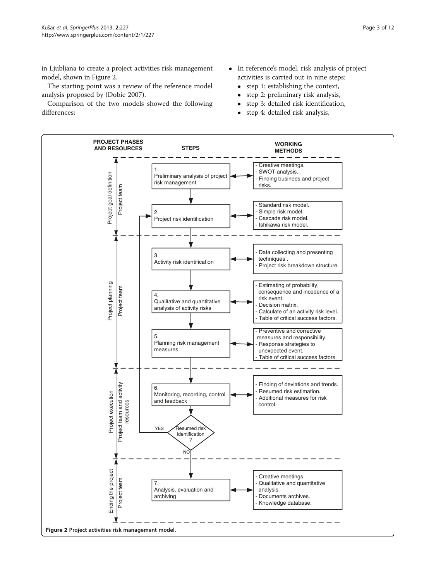in Ljubljana to create a project activities risk management model, shown in Figure 2.

The starting point was a review of the reference model analysis proposed by (Dobie [2007](#page-10-0)).

Comparison of the two models showed the following differences:

- In reference's model, risk analysis of project activities is carried out in nine steps:
	- step 1: establishing the context,<br>• step 2: preliminary risk analysis.
	- step 2: preliminary risk analysis,<br>• step 3: detailed risk identification
	- step 3: detailed risk identification,<br>• step 4: detailed risk analysis.
	- step 4: detailed risk analysis,

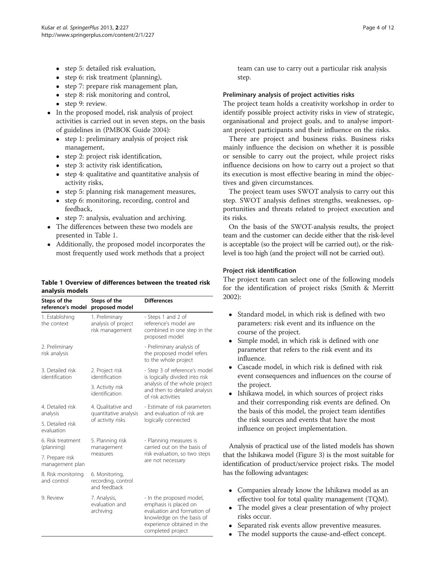- step 5: detailed risk evaluation,
- $\bullet$  step 6: risk treatment (planning),
- step 7: prepare risk management plan,
- step 8: risk monitoring and control,
- step 9: review.
- In the proposed model, risk analysis of project activities is carried out in seven steps, on the basis of guidelines in (PMBOK Guide [2004\)](#page-10-0):
	- step 1: preliminary analysis of project risk management,
	- step 2: project risk identification,
	- step 3: activity risk identification,
	- step 4: qualitative and quantitative analysis of activity risks,
	- step 5: planning risk management measures,
	- step 6: monitoring, recording, control and feedback,
	- step 7: analysis, evaluation and archiving.
- The differences between these two models are presented in Table 1.
- Additionally, the proposed model incorporates the most frequently used work methods that a project

## Table 1 Overview of differences between the treated risk analysis models

| Steps of the<br>reference's model  | Steps of the<br>proposed model                           | <b>Differences</b>                                                                                                                                               |  |  |  |
|------------------------------------|----------------------------------------------------------|------------------------------------------------------------------------------------------------------------------------------------------------------------------|--|--|--|
| 1. Establishing<br>the context     | 1. Preliminary<br>analysis of project<br>risk management | - Steps 1 and 2 of<br>reference's model are<br>combined in one step in the<br>proposed model                                                                     |  |  |  |
| 2. Preliminary<br>risk analysis    |                                                          | - Preliminary analysis of<br>the proposed model refers<br>to the whole project                                                                                   |  |  |  |
| 3. Detailed risk<br>identification | 2. Project risk<br>identification                        | - Step 3 of reference's model<br>is logically divided into risk                                                                                                  |  |  |  |
|                                    | 3. Activity risk<br>identification                       | analysis of the whole project<br>and then to detailed analysis<br>of risk activities                                                                             |  |  |  |
| 4. Detailed risk<br>analysis       | 4. Qualitative and<br>quantitative analysis              | - Estimate of risk parameters<br>and evaluation of risk are<br>logically connected                                                                               |  |  |  |
| 5. Detailed risk<br>evaluation     | of activity risks                                        |                                                                                                                                                                  |  |  |  |
| 6. Risk treatment<br>(planning)    | 5. Planning risk<br>management                           | - Planning measures is<br>carried out on the basis of                                                                                                            |  |  |  |
| 7. Prepare risk<br>management plan | measures                                                 | risk evaluation, so two steps<br>are not necessary                                                                                                               |  |  |  |
| 8. Risk monitoring<br>and control  | 6. Monitoring,<br>recording, control<br>and feedback     |                                                                                                                                                                  |  |  |  |
| 9. Review                          | 7. Analysis,<br>evaluation and<br>archiving              | - In the proposed model,<br>emphasis is placed on<br>evaluation and formation of<br>knowledge on the basis of<br>experience obtained in the<br>completed project |  |  |  |

team can use to carry out a particular risk analysis step.

## Preliminary analysis of project activities risks

The project team holds a creativity workshop in order to identify possible project activity risks in view of strategic, organisational and project goals, and to analyse important project participants and their influence on the risks.

There are project and business risks. Business risks mainly influence the decision on whether it is possible or sensible to carry out the project, while project risks influence decisions on how to carry out a project so that its execution is most effective bearing in mind the objectives and given circumstances.

The project team uses SWOT analysis to carry out this step. SWOT analysis defines strengths, weaknesses, opportunities and threats related to project execution and its risks.

On the basis of the SWOT-analysis results, the project team and the customer can decide either that the risk-level is acceptable (so the project will be carried out), or the risklevel is too high (and the project will not be carried out).

## Project risk identification

The project team can select one of the following models for the identification of project risks (Smith & Merritt [2002](#page-11-0)):

- Standard model, in which risk is defined with two parameters: risk event and its influence on the course of the project.
- Simple model, in which risk is defined with one parameter that refers to the risk event and its influence.
- Cascade model, in which risk is defined with risk event consequences and influences on the course of the project.
- Ishikawa model, in which sources of project risks and their corresponding risk events are defined. On the basis of this model, the project team identifies the risk sources and events that have the most influence on project implementation.

Analysis of practical use of the listed models has shown that the Ishikawa model (Figure [3](#page-4-0)) is the most suitable for identification of product/service project risks. The model has the following advantages:

- Companies already know the Ishikawa model as an effective tool for total quality management (TQM).
- The model gives a clear presentation of why project risks occur.
- Separated risk events allow preventive measures.
- The model supports the cause-and-effect concept.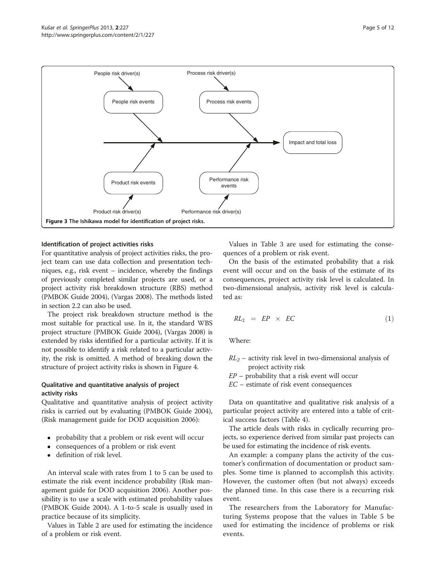<span id="page-4-0"></span>

#### Identification of project activities risks

For quantitative analysis of project activities risks, the project team can use data collection and presentation techniques, e.g., risk event – incidence, whereby the findings of previously completed similar projects are used, or a project activity risk breakdown structure (RBS) method (PMBOK Guide [2004\)](#page-10-0), (Vargas [2008](#page-11-0)). The methods listed in section 2.2 can also be used.

The project risk breakdown structure method is the most suitable for practical use. In it, the standard WBS project structure (PMBOK Guide [2004](#page-10-0)), (Vargas [2008\)](#page-11-0) is extended by risks identified for a particular activity. If it is not possible to identify a risk related to a particular activity, the risk is omitted. A method of breaking down the structure of project activity risks is shown in Figure [4](#page-5-0).

#### Qualitative and quantitative analysis of project activity risks

Qualitative and quantitative analysis of project activity risks is carried out by evaluating (PMBOK Guide [2004](#page-10-0)), (Risk management guide for DOD acquisition [2006](#page-11-0)):

- probability that a problem or risk event will occur
- consequences of a problem or risk event
- definition of risk level.

An interval scale with rates from 1 to 5 can be used to estimate the risk event incidence probability (Risk management guide for DOD acquisition [2006](#page-11-0)). Another possibility is to use a scale with estimated probability values (PMBOK Guide [2004](#page-10-0)). A 1-to-5 scale is usually used in practice because of its simplicity.

Values in Table [2](#page-5-0) are used for estimating the incidence of a problem or risk event.

Values in Table [3](#page-5-0) are used for estimating the consequences of a problem or risk event.

On the basis of the estimated probability that a risk event will occur and on the basis of the estimate of its consequences, project activity risk level is calculated. In two-dimensional analysis, activity risk level is calculated as:

$$
RL_2 = EP \times EC \tag{1}
$$

Where:

- $RL_2$  activity risk level in two-dimensional analysis of project activity risk
- $EP$  probability that a risk event will occur
- EC estimate of risk event consequences

Data on quantitative and qualitative risk analysis of a particular project activity are entered into a table of critical success factors (Table [4\)](#page-6-0).

The article deals with risks in cyclically recurring projects, so experience derived from similar past projects can be used for estimating the incidence of risk events.

An example: a company plans the activity of the customer's confirmation of documentation or product samples. Some time is planned to accomplish this activity. However, the customer often (but not always) exceeds the planned time. In this case there is a recurring risk event.

The researchers from the Laboratory for Manufacturing Systems propose that the values in Table [5](#page-6-0) be used for estimating the incidence of problems or risk events.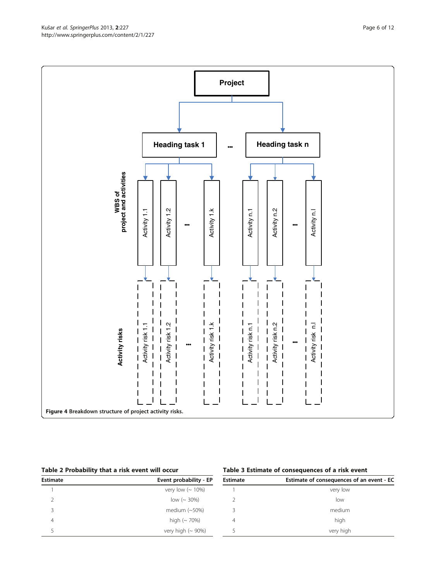http://www.springerplus.com/content/2/1/227

<span id="page-5-0"></span>

#### Table 2 Probability that a risk event will occur

#### Table 3 Estimate of consequences of a risk event

| Event probability - EP  | <b>Estimate</b> | Estimate of consequences of an event - EC |  |  |
|-------------------------|-----------------|-------------------------------------------|--|--|
| very low $(\sim 10\%)$  |                 | very low                                  |  |  |
| low $(-30\%)$           |                 | low                                       |  |  |
| medium $(\sim 50\%)$    |                 | medium                                    |  |  |
| high $({\sim} 70%)$     |                 | high                                      |  |  |
| very high $(\sim 90\%)$ |                 | very high                                 |  |  |
|                         |                 |                                           |  |  |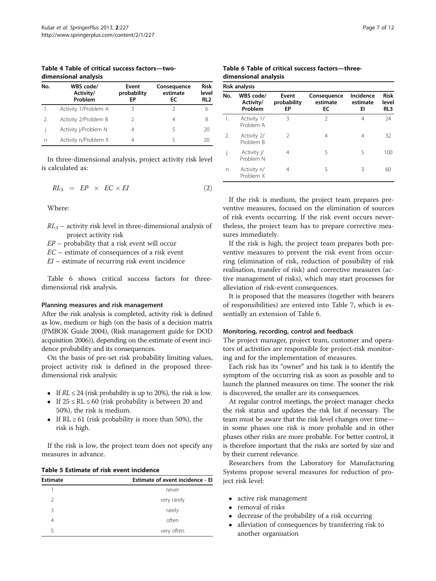<span id="page-6-0"></span>Table 4 Table of critical success factors—twodimensional analysis

| No. | WBS code/<br>Activity/<br>Problem | Event<br>probability<br>ЕP | Consequence<br>estimate<br>ЕC | <b>Risk</b><br>level<br>RL <sub>2</sub> |
|-----|-----------------------------------|----------------------------|-------------------------------|-----------------------------------------|
|     | Activity 1/Problem A              | ੨                          |                               | 6                                       |
| 2.  | Activity 2/Problem B              | 2                          | 4                             | 8                                       |
|     | Activity j/Problem N              | 4                          | 5                             | 20                                      |
| n   | Activity n/Problem X              | 4                          | 5                             | 20                                      |

In three-dimensional analysis, project activity risk level is calculated as:

$$
RL_3 = EP \times EC \times EI \tag{2}
$$

Where:

- $RL<sub>3</sub>$  activity risk level in three-dimensional analysis of project activity risk
- $EP$  probability that a risk event will occur
- EC estimate of consequences of a risk event
- EI estimate of recurring risk event incidence

Table 6 shows critical success factors for threedimensional risk analysis.

#### Planning measures and risk management

After the risk analysis is completed, activity risk is defined as low, medium or high (on the basis of a decision matrix (PMBOK Guide [2004](#page-10-0)), (Risk management guide for DOD acquisition [2006](#page-11-0))), depending on the estimate of event incidence probability and its consequences.

On the basis of pre-set risk probability limiting values, project activity risk is defined in the proposed threedimensional risk analysis:

- If  $RL \leq 24$  (risk probability is up to 20%), the risk is low.
- If  $25 \leq R$ L ≤ 60 (risk probability is between 20 and 50%), the risk is medium.
- If  $RL \ge 61$  (risk probability is more than 50%), the risk is high.

If the risk is low, the project team does not specify any measures in advance.

| <b>Estimate</b> | Estimate of event incidence - El |
|-----------------|----------------------------------|
| 1               | never                            |
| $\mathcal{P}$   | very rarely                      |
| ξ               | rarely                           |
| 4               | often                            |
| 5               | very often                       |

#### Table 6 Table of critical success factors—threedimensional analysis

| <b>Risk analysis</b> |                                   |                            |                               |                             |                             |  |  |  |
|----------------------|-----------------------------------|----------------------------|-------------------------------|-----------------------------|-----------------------------|--|--|--|
| No.                  | WBS code/<br>Activity/<br>Problem | Event<br>probability<br>ЕP | Consequence<br>estimate<br>ЕC | Incidence<br>estimate<br>EI | <b>Risk</b><br>level<br>RL3 |  |  |  |
| 1.                   | Activity 1/<br>Problem A          | 3                          | $\mathfrak{D}$                | 4                           | 24                          |  |  |  |
| 2.                   | Activity 2/<br>Problem B          | 2                          | 4                             | 4                           | 32                          |  |  |  |
| j.                   | Activity j/<br>Problem N          | 4                          | 5                             | 5                           | 100                         |  |  |  |
| n                    | Activity n/<br>Problem X          | 4                          | 5                             | 3                           | 60                          |  |  |  |

If the risk is medium, the project team prepares preventive measures, focused on the elimination of sources of risk events occurring. If the risk event occurs nevertheless, the project team has to prepare corrective measures immediately.

If the risk is high, the project team prepares both preventive measures to prevent the risk event from occurring (elimination of risk, reduction of possibility of risk realisation, transfer of risk) and corrective measures (active management of risks), which may start processes for alleviation of risk-event consequences.

It is proposed that the measures (together with bearers of responsibilities) are entered into Table [7](#page-7-0), which is essentially an extension of Table 6.

#### Monitoring, recording, control and feedback

The project manager, project team, customer and operators of activities are responsible for project-risk monitoring and for the implementation of measures.

Each risk has its "owner" and his task is to identify the symptom of the occurring risk as soon as possible and to launch the planned measures on time. The sooner the risk is discovered, the smaller are its consequences.

At regular control meetings, the project manager checks the risk status and updates the risk list if necessary. The team must be aware that the risk level changes over time in some phases one risk is more probable and in other phases other risks are more probable. For better control, it is therefore important that the risks are sorted by size and by their current relevance.

Researchers from the Laboratory for Manufacturing Systems propose several measures for reduction of project risk level:

- active risk management
- removal of risks
- decrease of the probability of a risk occurring
- alleviation of consequences by transferring risk to another organisation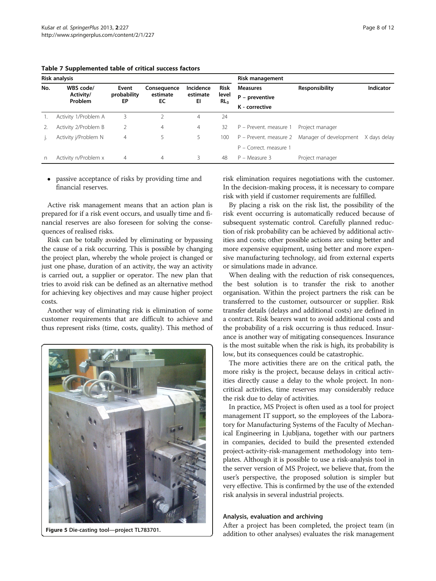| <b>Risk analysis</b> |                                   |                            |                               |                             | <b>Risk management</b>                  |                        |                                                              |           |
|----------------------|-----------------------------------|----------------------------|-------------------------------|-----------------------------|-----------------------------------------|------------------------|--------------------------------------------------------------|-----------|
| No.                  | WBS code/<br>Activity/<br>Problem | Event<br>probability<br>EP | Consequence<br>estimate<br>EC | Incidence<br>estimate<br>EI | <b>Risk</b><br>level<br>RL <sub>3</sub> | <b>Measures</b>        | Responsibility                                               | Indicator |
|                      |                                   |                            |                               |                             |                                         | $P$ – preventive       |                                                              |           |
|                      |                                   |                            |                               |                             |                                         | K - corrective         |                                                              |           |
|                      | Activity 1/Problem A              | ζ                          |                               | 4                           | 24                                      |                        |                                                              |           |
|                      | Activity 2/Problem B              |                            | 4                             | 4                           | 32                                      | P - Prevent. measure 1 | Project manager                                              |           |
|                      | Activity j/Problem N              | 4                          | 5                             | 5                           | 100                                     |                        | $P$ – Prevent. measure 2 Manager of development X days delay |           |
|                      |                                   |                            |                               |                             |                                         | P - Correct, measure 1 |                                                              |           |
|                      | Activity n/Problem x              | 4                          | 4                             | 3                           | 48                                      | $P - Measure$ 3        | Project manager                                              |           |

<span id="page-7-0"></span>Table 7 Supplemented table of critical success factors

 passive acceptance of risks by providing time and financial reserves.

Active risk management means that an action plan is prepared for if a risk event occurs, and usually time and financial reserves are also foreseen for solving the consequences of realised risks.

Risk can be totally avoided by eliminating or bypassing the cause of a risk occurring. This is possible by changing the project plan, whereby the whole project is changed or just one phase, duration of an activity, the way an activity is carried out, a supplier or operator. The new plan that tries to avoid risk can be defined as an alternative method for achieving key objectives and may cause higher project costs.

Another way of eliminating risk is elimination of some customer requirements that are difficult to achieve and thus represent risks (time, costs, quality). This method of



Figure 5 Die-casting tool—project TL783701.

risk elimination requires negotiations with the customer. In the decision-making process, it is necessary to compare risk with yield if customer requirements are fulfilled.

By placing a risk on the risk list, the possibility of the risk event occurring is automatically reduced because of subsequent systematic control. Carefully planned reduction of risk probability can be achieved by additional activities and costs; other possible actions are: using better and more expensive equipment, using better and more expensive manufacturing technology, aid from external experts or simulations made in advance.

When dealing with the reduction of risk consequences, the best solution is to transfer the risk to another organisation. Within the project partners the risk can be transferred to the customer, outsourcer or supplier. Risk transfer details (delays and additional costs) are defined in a contract. Risk bearers want to avoid additional costs and the probability of a risk occurring is thus reduced. Insurance is another way of mitigating consequences. Insurance is the most suitable when the risk is high, its probability is low, but its consequences could be catastrophic.

The more activities there are on the critical path, the more risky is the project, because delays in critical activities directly cause a delay to the whole project. In noncritical activities, time reserves may considerably reduce the risk due to delay of activities.

In practice, MS Project is often used as a tool for project management IT support, so the employees of the Laboratory for Manufacturing Systems of the Faculty of Mechanical Engineering in Ljubljana, together with our partners in companies, decided to build the presented extended project-activity-risk-management methodology into templates. Although it is possible to use a risk-analysis tool in the server version of MS Project, we believe that, from the user's perspective, the proposed solution is simpler but very effective. This is confirmed by the use of the extended risk analysis in several industrial projects.

#### Analysis, evaluation and archiving

After a project has been completed, the project team (in addition to other analyses) evaluates the risk management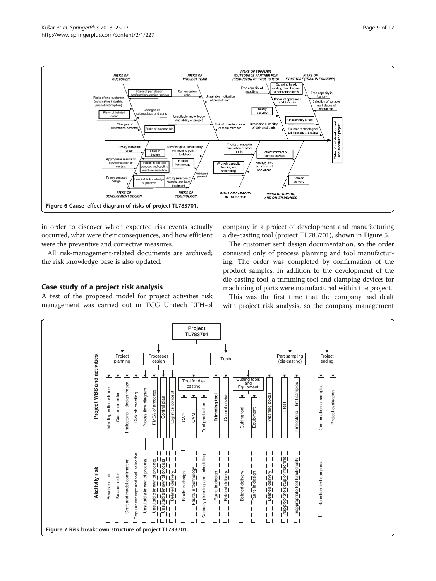<span id="page-8-0"></span>

in order to discover which expected risk events actually occurred, what were their consequences, and how efficient were the preventive and corrective measures.

All risk-management-related documents are archived; the risk knowledge base is also updated.

## Case study of a project risk analysis

A test of the proposed model for project activities risk management was carried out in TCG Unitech LTH-ol

company in a project of development and manufacturing a die-casting tool (project TL783701), shown in Figure [5.](#page-7-0)

The customer sent design documentation, so the order consisted only of process planning and tool manufacturing. The order was completed by confirmation of the product samples. In addition to the development of the die-casting tool, a trimming tool and clamping devices for machining of parts were manufactured within the project.

This was the first time that the company had dealt with project risk analysis, so the company management

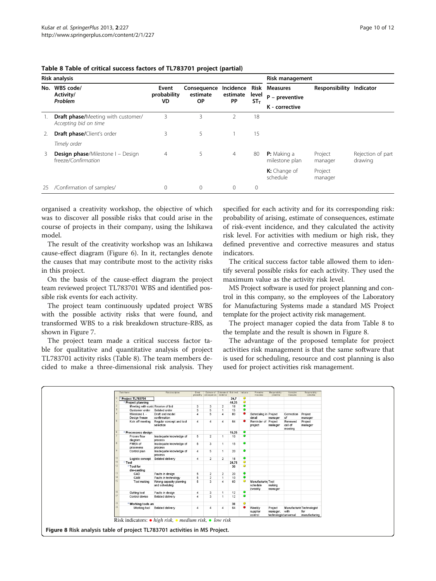|     | <b>Risk analysis</b>                                               |                            |                                      |                                    | <b>Risk management</b> |                               |                          |                              |
|-----|--------------------------------------------------------------------|----------------------------|--------------------------------------|------------------------------------|------------------------|-------------------------------|--------------------------|------------------------------|
| No. | WBS code/<br>Activity/                                             | Event<br>probability<br>VD | Consequence<br>estimate<br><b>OP</b> | Incidence<br>estimate<br><b>PP</b> | level<br>$ST_T$        | <b>Risk Measures</b>          | Responsibility Indicator |                              |
|     | Problem                                                            |                            |                                      |                                    |                        | $P$ – preventive              |                          |                              |
|     |                                                                    |                            |                                      |                                    |                        | K - corrective                |                          |                              |
|     | <b>Draft phase/Meeting with customer/</b><br>Accepting bid on time | 3                          | 3                                    | $\mathfrak{D}$                     | 18                     |                               |                          |                              |
|     | Draft phase/Client's order                                         | 3                          | 5                                    |                                    | 15                     |                               |                          |                              |
|     | Timely order                                                       |                            |                                      |                                    |                        |                               |                          |                              |
| 3.  | <b>Design phase/Milestone I - Design</b><br>freeze/Confirmation    | $\overline{4}$             | 5                                    | $\overline{4}$                     | 80                     | P: Making a<br>milestone plan | Project<br>manager       | Rejection of part<br>drawing |
|     |                                                                    |                            |                                      |                                    |                        | K: Change of<br>schedule      | Project<br>manager       |                              |
| 25  | /Confirmation of samples/                                          | 0                          | $\Omega$                             | $\Omega$                           | 0                      |                               |                          |                              |

<span id="page-9-0"></span>Table 8 Table of critical success factors of TL783701 project (partial)

organised a creativity workshop, the objective of which was to discover all possible risks that could arise in the course of projects in their company, using the Ishikawa model.

The result of the creativity workshop was an Ishikawa cause-effect diagram (Figure [6\)](#page-8-0). In it, rectangles denote the causes that may contribute most to the activity risks in this project.

On the basis of the cause-effect diagram the project team reviewed project TL783701 WBS and identified possible risk events for each activity.

The project team continuously updated project WBS with the possible activity risks that were found, and transformed WBS to a risk breakdown structure-RBS, as shown in Figure [7.](#page-8-0)

The project team made a critical success factor table for qualitative and quantitative analysis of project TL783701 activity risks (Table 8). The team members decided to make a three-dimensional risk analysis. They

specified for each activity and for its corresponding risk: probability of arising, estimate of consequences, estimate of risk-event incidence, and they calculated the activity risk level. For activities with medium or high risk, they defined preventive and corrective measures and status indicators.

The critical success factor table allowed them to identify several possible risks for each activity. They used the maximum value as the activity risk level.

MS Project software is used for project planning and control in this company, so the employees of the Laboratory for Manufacturing Systems made a standard MS Project template for the project activity risk management.

The project manager copied the data from Table 8 to the template and the result is shown in Figure 8.

The advantage of the proposed template for project activities risk management is that the same software that is used for scheduling, resource and cost planning is also used for project activities risk management.

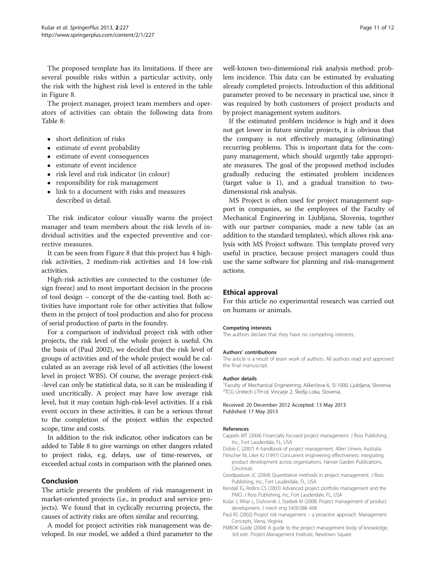<span id="page-10-0"></span>The proposed template has its limitations. If there are several possible risks within a particular activity, only the risk with the highest risk level is entered in the table in Figure [8](#page-9-0).

The project manager, project team members and operators of activities can obtain the following data from Table [8:](#page-9-0)

- short definition of risks
- estimate of event probability
- estimate of event consequences
- estimate of event incidence
- risk level and risk indicator (in colour)
- responsibility for risk management
- link to a document with risks and measures described in detail.

The risk indicator colour visually warns the project manager and team members about the risk levels of individual activities and the expected preventive and corrective measures.

It can be seen from Figure [8](#page-9-0) that this project has 4 highrisk activities, 2 medium-risk activities and 14 low-risk activities.

High-risk activities are connected to the costumer (design freeze) and to most important decision in the process of tool design – concept of the die-casting tool. Both activities have important role for other activities that follow them in the project of tool production and also for process of serial production of parts in the foundry.

For a comparison of individual project risk with other projects, the risk level of the whole project is useful. On the basis of (Paul 2002), we decided that the risk level of groups of activities and of the whole project would be calculated as an average risk level of all activities (the lowest level in project WBS). Of course, the average project-risk -level can only be statistical data, so it can be misleading if used uncritically. A project may have low average risk level, but it may contain high-risk-level activities. If a risk event occurs in these activities, it can be a serious threat to the completion of the project within the expected scope, time and costs.

In addition to the risk indicator, other indicators can be added to Table [8](#page-9-0) to give warnings on other dangers related to project risks, e.g. delays, use of time-reserves, or exceeded actual costs in comparison with the planned ones.

#### Conclusion

The article presents the problem of risk management in market-oriented projects (i.e., in product and service projects). We found that in cyclically recurring projects, the causes of activity risks are often similar and recurring.

A model for project activities risk management was developed. In our model, we added a third parameter to the

If the estimated problem incidence is high and it does not get lower in future similar projects, it is obvious that the company is not effectively managing (eliminating) recurring problems. This is important data for the company management, which should urgently take appropriate measures. The goal of the proposed method includes gradually reducing the estimated problem incidences (target value is 1), and a gradual transition to twodimensional risk analysis.

MS Project is often used for project management support in companies, so the employees of the Faculty of Mechanical Engineering in Ljubljana, Slovenia, together with our partner companies, made a new table (as an addition to the standard templates), which allows risk analysis with MS Project software. This template proved very useful in practice, because project managers could thus use the same software for planning and risk-management actions.

## Ethical approval

For this article no experimental research was carried out on humans or animals.

#### Competing interests

The authors declare that they have no competing interests.

#### Authors' contributions

The article is a result of team work of authors. All authors read and approved the final manuscript.

#### Author details

<sup>1</sup> Faculty of Mechanical Engineering, Aškerčeva 6, SI-1000, Ljubljana, Slovenia.<br><sup>2</sup>TCG Unitech LTH-ol Vincarie 2, Škofia Loka, Slovenia. <sup>2</sup>TCG Unitech LTH-ol, Vincarje 2, Škofja Loka, Slovenia.

#### Received: 20 December 2012 Accepted: 13 May 2013 Published: 17 May 2013

#### References

- Cappels MT (2004) Financially focused project management. J Ross Publishing, Inc., Fort Lauderdale, FL, USA
- Dobie C (2007) A handbook of project management. Allen Unwin, Australia
- Fleischer M, Liker KJ (1997) Concurrent engineering effectiveness: integrating product development across organisations. Hanser Garden Publications, Cincinnati
- Goodpasture JC (2004) Quantitative methods in project management. J Ross Publishing, Inc., Fort Lauderdale, FL, USA
- Kendall IG, Rollins CS (2003) Advanced project portfolio management and the PMO. J Ross Publishing, Inc, Fort Lauderdale, FL, USA
- Kušar J, Rihar L, Duhovnik J, Starbek M (2008) Project management of product development. J mech eng 54(9):588–606
- Paul RS (2002) Project risk management a proactive approach. Management Concepts, Viena, Virginia
- PMBOK Guide (2004) A guide to the project management body of knowledge, 3rd edn. Project Management Institute, Newtown Square